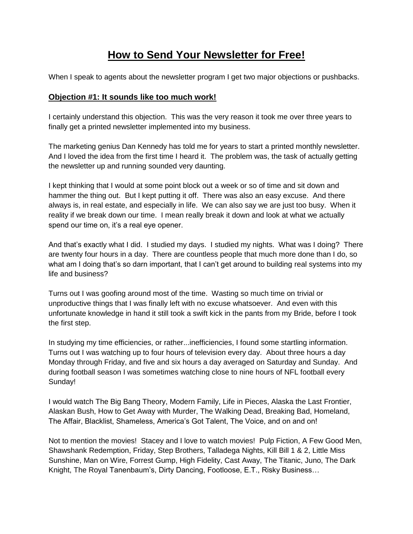## **How to Send Your Newsletter for Free!**

When I speak to agents about the newsletter program I get two major objections or pushbacks.

## **Objection #1: It sounds like too much work!**

I certainly understand this objection. This was the very reason it took me over three years to finally get a printed newsletter implemented into my business.

The marketing genius Dan Kennedy has told me for years to start a printed monthly newsletter. And I loved the idea from the first time I heard it. The problem was, the task of actually getting the newsletter up and running sounded very daunting.

I kept thinking that I would at some point block out a week or so of time and sit down and hammer the thing out. But I kept putting it off. There was also an easy excuse. And there always is, in real estate, and especially in life. We can also say we are just too busy. When it reality if we break down our time. I mean really break it down and look at what we actually spend our time on, it's a real eye opener.

And that's exactly what I did. I studied my days. I studied my nights. What was I doing? There are twenty four hours in a day. There are countless people that much more done than I do, so what am I doing that's so darn important, that I can't get around to building real systems into my life and business?

Turns out I was goofing around most of the time. Wasting so much time on trivial or unproductive things that I was finally left with no excuse whatsoever. And even with this unfortunate knowledge in hand it still took a swift kick in the pants from my Bride, before I took the first step.

In studying my time efficiencies, or rather...inefficiencies, I found some startling information. Turns out I was watching up to four hours of television every day. About three hours a day Monday through Friday, and five and six hours a day averaged on Saturday and Sunday. And during football season I was sometimes watching close to nine hours of NFL football every Sunday!

I would watch The Big Bang Theory, Modern Family, Life in Pieces, Alaska the Last Frontier, Alaskan Bush, How to Get Away with Murder, The Walking Dead, Breaking Bad, Homeland, The Affair, Blacklist, Shameless, America's Got Talent, The Voice, and on and on!

Not to mention the movies! Stacey and I love to watch movies! Pulp Fiction, A Few Good Men, Shawshank Redemption, Friday, Step Brothers, Talladega Nights, Kill Bill 1 & 2, Little Miss Sunshine, Man on Wire, Forrest Gump, High Fidelity, Cast Away, The Titanic, Juno, The Dark Knight, The Royal Tanenbaum's, Dirty Dancing, Footloose, E.T., Risky Business…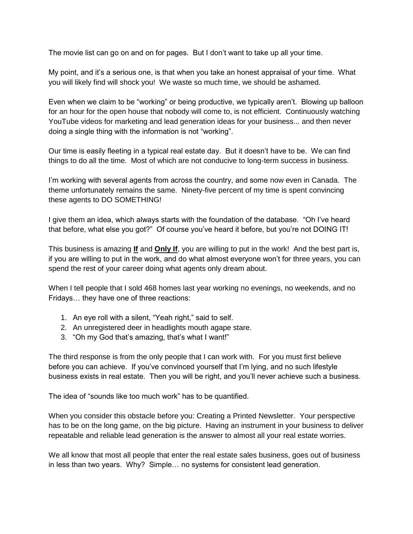The movie list can go on and on for pages. But I don't want to take up all your time.

My point, and it's a serious one, is that when you take an honest appraisal of your time. What you will likely find will shock you! We waste so much time, we should be ashamed.

Even when we claim to be "working" or being productive, we typically aren't. Blowing up balloon for an hour for the open house that nobody will come to, is not efficient. Continuously watching YouTube videos for marketing and lead generation ideas for your business... and then never doing a single thing with the information is not "working".

Our time is easily fleeting in a typical real estate day. But it doesn't have to be. We can find things to do all the time. Most of which are not conducive to long-term success in business.

I'm working with several agents from across the country, and some now even in Canada. The theme unfortunately remains the same. Ninety-five percent of my time is spent convincing these agents to DO SOMETHING!

I give them an idea, which always starts with the foundation of the database. "Oh I've heard that before, what else you got?" Of course you've heard it before, but you're not DOING IT!

This business is amazing **If** and **Only If**, you are willing to put in the work! And the best part is, if you are willing to put in the work, and do what almost everyone won't for three years, you can spend the rest of your career doing what agents only dream about.

When I tell people that I sold 468 homes last year working no evenings, no weekends, and no Fridays… they have one of three reactions:

- 1. An eye roll with a silent, "Yeah right," said to self.
- 2. An unregistered deer in headlights mouth agape stare.
- 3. "Oh my God that's amazing, that's what I want!"

The third response is from the only people that I can work with. For you must first believe before you can achieve. If you've convinced yourself that I'm lying, and no such lifestyle business exists in real estate. Then you will be right, and you'll never achieve such a business.

The idea of "sounds like too much work" has to be quantified.

When you consider this obstacle before you: Creating a Printed Newsletter. Your perspective has to be on the long game, on the big picture. Having an instrument in your business to deliver repeatable and reliable lead generation is the answer to almost all your real estate worries.

We all know that most all people that enter the real estate sales business, goes out of business in less than two years. Why? Simple… no systems for consistent lead generation.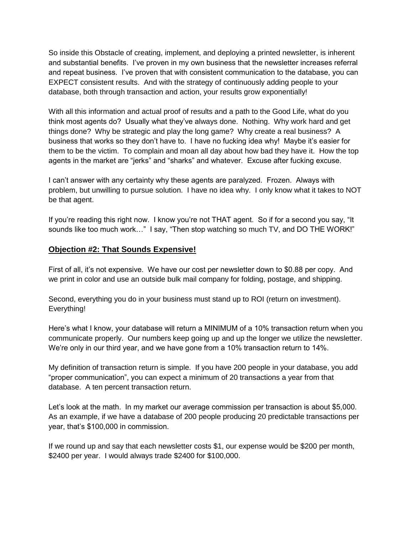So inside this Obstacle of creating, implement, and deploying a printed newsletter, is inherent and substantial benefits. I've proven in my own business that the newsletter increases referral and repeat business. I've proven that with consistent communication to the database, you can EXPECT consistent results. And with the strategy of continuously adding people to your database, both through transaction and action, your results grow exponentially!

With all this information and actual proof of results and a path to the Good Life, what do you think most agents do? Usually what they've always done. Nothing. Why work hard and get things done? Why be strategic and play the long game? Why create a real business? A business that works so they don't have to. I have no fucking idea why! Maybe it's easier for them to be the victim. To complain and moan all day about how bad they have it. How the top agents in the market are "jerks" and "sharks" and whatever. Excuse after fucking excuse.

I can't answer with any certainty why these agents are paralyzed. Frozen. Always with problem, but unwilling to pursue solution. I have no idea why. I only know what it takes to NOT be that agent.

If you're reading this right now. I know you're not THAT agent. So if for a second you say, "It sounds like too much work…" I say, "Then stop watching so much TV, and DO THE WORK!"

## **Objection #2: That Sounds Expensive!**

First of all, it's not expensive. We have our cost per newsletter down to \$0.88 per copy. And we print in color and use an outside bulk mail company for folding, postage, and shipping.

Second, everything you do in your business must stand up to ROI (return on investment). Everything!

Here's what I know, your database will return a MINIMUM of a 10% transaction return when you communicate properly. Our numbers keep going up and up the longer we utilize the newsletter. We're only in our third year, and we have gone from a 10% transaction return to 14%.

My definition of transaction return is simple. If you have 200 people in your database, you add "proper communication", you can expect a minimum of 20 transactions a year from that database. A ten percent transaction return.

Let's look at the math. In my market our average commission per transaction is about \$5,000. As an example, if we have a database of 200 people producing 20 predictable transactions per year, that's \$100,000 in commission.

If we round up and say that each newsletter costs \$1, our expense would be \$200 per month, \$2400 per year. I would always trade \$2400 for \$100,000.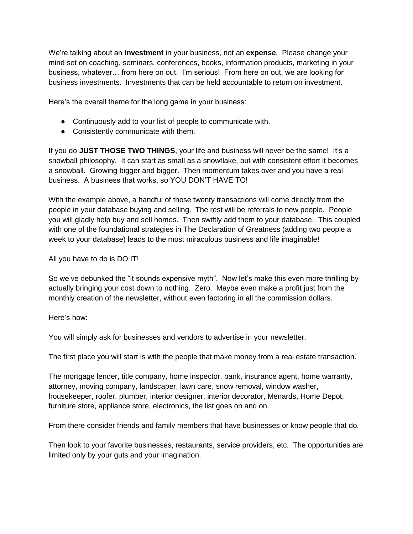We're talking about an **investment** in your business, not an **expense**. Please change your mind set on coaching, seminars, conferences, books, information products, marketing in your business, whatever… from here on out. I'm serious! From here on out, we are looking for business investments. Investments that can be held accountable to return on investment.

Here's the overall theme for the long game in your business:

- Continuously add to your list of people to communicate with.
- Consistently communicate with them.

If you do **JUST THOSE TWO THINGS**, your life and business will never be the same! It's a snowball philosophy. It can start as small as a snowflake, but with consistent effort it becomes a snowball. Growing bigger and bigger. Then momentum takes over and you have a real business. A business that works, so YOU DON'T HAVE TO!

With the example above, a handful of those twenty transactions will come directly from the people in your database buying and selling. The rest will be referrals to new people. People you will gladly help buy and sell homes. Then swiftly add them to your database. This coupled with one of the foundational strategies in The Declaration of Greatness (adding two people a week to your database) leads to the most miraculous business and life imaginable!

All you have to do is DO IT!

So we've debunked the "it sounds expensive myth". Now let's make this even more thrilling by actually bringing your cost down to nothing. Zero. Maybe even make a profit just from the monthly creation of the newsletter, without even factoring in all the commission dollars.

Here's how:

You will simply ask for businesses and vendors to advertise in your newsletter.

The first place you will start is with the people that make money from a real estate transaction.

The mortgage lender, title company, home inspector, bank, insurance agent, home warranty, attorney, moving company, landscaper, lawn care, snow removal, window washer, housekeeper, roofer, plumber, interior designer, interior decorator, Menards, Home Depot, furniture store, appliance store, electronics, the list goes on and on.

From there consider friends and family members that have businesses or know people that do.

Then look to your favorite businesses, restaurants, service providers, etc. The opportunities are limited only by your guts and your imagination.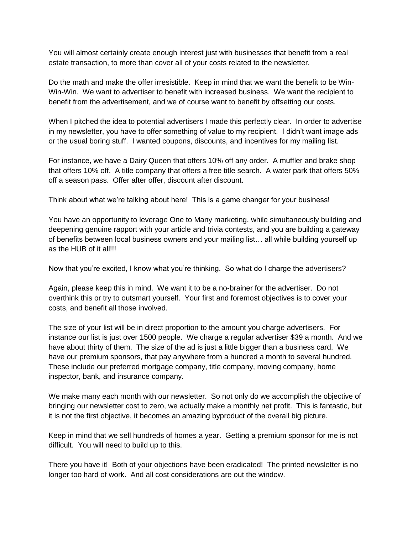You will almost certainly create enough interest just with businesses that benefit from a real estate transaction, to more than cover all of your costs related to the newsletter.

Do the math and make the offer irresistible. Keep in mind that we want the benefit to be Win-Win-Win. We want to advertiser to benefit with increased business. We want the recipient to benefit from the advertisement, and we of course want to benefit by offsetting our costs.

When I pitched the idea to potential advertisers I made this perfectly clear. In order to advertise in my newsletter, you have to offer something of value to my recipient. I didn't want image ads or the usual boring stuff. I wanted coupons, discounts, and incentives for my mailing list.

For instance, we have a Dairy Queen that offers 10% off any order. A muffler and brake shop that offers 10% off. A title company that offers a free title search. A water park that offers 50% off a season pass. Offer after offer, discount after discount.

Think about what we're talking about here! This is a game changer for your business!

You have an opportunity to leverage One to Many marketing, while simultaneously building and deepening genuine rapport with your article and trivia contests, and you are building a gateway of benefits between local business owners and your mailing list… all while building yourself up as the HUB of it all!!!

Now that you're excited, I know what you're thinking. So what do I charge the advertisers?

Again, please keep this in mind. We want it to be a no-brainer for the advertiser. Do not overthink this or try to outsmart yourself. Your first and foremost objectives is to cover your costs, and benefit all those involved.

The size of your list will be in direct proportion to the amount you charge advertisers. For instance our list is just over 1500 people. We charge a regular advertiser \$39 a month. And we have about thirty of them. The size of the ad is just a little bigger than a business card. We have our premium sponsors, that pay anywhere from a hundred a month to several hundred. These include our preferred mortgage company, title company, moving company, home inspector, bank, and insurance company.

We make many each month with our newsletter. So not only do we accomplish the objective of bringing our newsletter cost to zero, we actually make a monthly net profit. This is fantastic, but it is not the first objective, it becomes an amazing byproduct of the overall big picture.

Keep in mind that we sell hundreds of homes a year. Getting a premium sponsor for me is not difficult. You will need to build up to this.

There you have it! Both of your objections have been eradicated! The printed newsletter is no longer too hard of work. And all cost considerations are out the window.